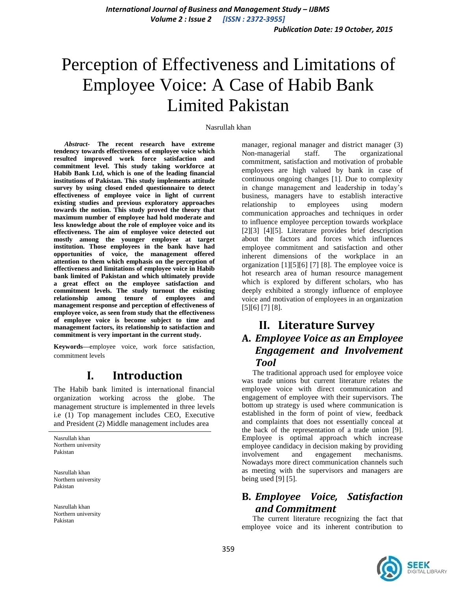# Perception of Effectiveness and Limitations of Employee Voice: A Case of Habib Bank Limited Pakistan

#### Nasrullah khan

*Abstract-* **The recent research have extreme tendency towards effectiveness of employee voice which resulted improved work force satisfaction and commitment level. This study taking workforce at Habib Bank Ltd, which is one of the leading financial institutions of Pakistan. This study implements attitude survey by using closed ended questionnaire to detect effectiveness of employee voice in light of current existing studies and previous exploratory approaches towards the notion. This study proved the theory that maximum number of employee had hold moderate and less knowledge about the role of employee voice and its effectiveness. The aim of employee voice detected out mostly among the younger employee at target institution. Those employees in the bank have had opportunities of voice, the management offered attention to them which emphasis on the perception of effectiveness and limitations of employee voice in Habib bank limited of Pakistan and which ultimately provide a great effect on the employee satisfaction and commitment levels. The study turnout the existing relationship among tenure of employees and management response and perception of effectiveness of employee voice, as seen from study that the effectiveness of employee voice is become subject to time and management factors, its relationship to satisfaction and commitment is very important in the current study.**

**Keywords—**employee voice, work force satisfaction, commitment levels

## **I. Introduction**

The Habib bank limited is international financial organization working across the globe. The management structure is implemented in three levels i.e (1) Top management includes CEO, Executive and President (2) Middle management includes area

Nasrullah khan Northern university Pakistan

Nasrullah khan Northern university Pakistan

Nasrullah khan Northern university Pakistan

manager, regional manager and district manager (3) Non-managerial staff. The organizational commitment, satisfaction and motivation of probable employees are high valued by bank in case of continuous ongoing changes [1]. Due to complexity in change management and leadership in today"s business, managers have to establish interactive relationship to employees using modern communication approaches and techniques in order to influence employee perception towards workplace [2][3] [4][5]. Literature provides brief description about the factors and forces which influences employee commitment and satisfaction and other inherent dimensions of the workplace in an organization [1][5][6] [7] [8]. The employee voice is hot research area of human resource management which is explored by different scholars, who has deeply exhibited a strongly influence of employee voice and motivation of employees in an organization [5][6] [7] [8].

### **II. Literature Survey A.** *Employee Voice as an Employee Engagement and Involvement Tool*

The traditional approach used for employee voice was trade unions but current literature relates the employee voice with direct communication and engagement of employee with their supervisors. The bottom up strategy is used where communication is established in the form of point of view, feedback and complaints that does not essentially conceal at the back of the representation of a trade union [9]. Employee is optimal approach which increase employee candidacy in decision making by providing involvement and engagement mechanisms. Nowadays more direct communication channels such as meeting with the supervisors and managers are being used [9] [5].

### **B.** *Employee Voice, Satisfaction and Commitment*

The current literature recognizing the fact that employee voice and its inherent contribution to

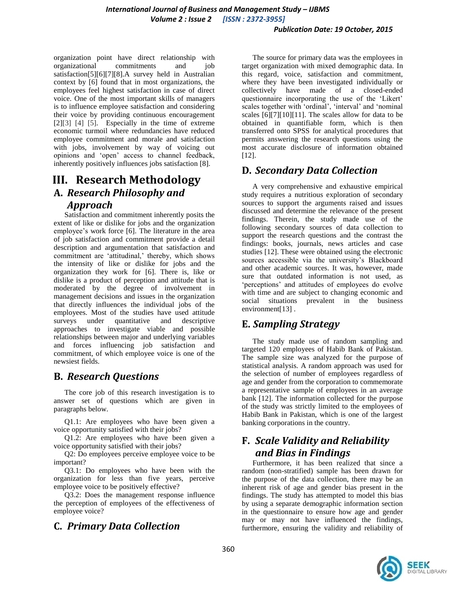organization point have direct relationship with organizational commitments and job satisfaction[5][6][7][8].A survey held in Australian context by [6] found that in most organizations, the employees feel highest satisfaction in case of direct voice. One of the most important skills of managers is to influence employee satisfaction and considering their voice by providing continuous encouragement [2][3] [4] [5]. Especially in the time of extreme economic turmoil where redundancies have reduced employee commitment and morale and satisfaction with jobs, involvement by way of voicing out opinions and "open" access to channel feedback, inherently positively influences jobs satisfaction [8].

## **III. Research Methodology A.** *Research Philosophy and*

#### *Approach*

Satisfaction and commitment inherently posits the extent of like or dislike for jobs and the organization employee's work force [6]. The literature in the area of job satisfaction and commitment provide a detail description and argumentation that satisfaction and commitment are 'attitudinal,' thereby, which shows the intensity of like or dislike for jobs and the organization they work for [6]. There is, like or dislike is a product of perception and attitude that is moderated by the degree of involvement in management decisions and issues in the organization that directly influences the individual jobs of the employees. Most of the studies have used attitude surveys under quantitative and descriptive approaches to investigate viable and possible relationships between major and underlying variables and forces influencing job satisfaction and commitment, of which employee voice is one of the newsiest fields.

#### **B.** *Research Questions*

The core job of this research investigation is to answer set of questions which are given in paragraphs below.

Q1.1: Are employees who have been given a voice opportunity satisfied with their jobs?

Q1.2: Are employees who have been given a voice opportunity satisfied with their jobs?

Q2: Do employees perceive employee voice to be important?

Q3.1: Do employees who have been with the organization for less than five years, perceive employee voice to be positively effective?

Q3.2: Does the management response influence the perception of employees of the effectiveness of employee voice?

**C.** *Primary Data Collection*

The source for primary data was the employees in target organization with mixed demographic data. In this regard, voice, satisfaction and commitment, where they have been investigated individually or collectively have made of a closed-ended questionnaire incorporating the use of the "Likert" scales together with 'ordinal', 'interval' and 'nominal scales [6][7][10][11]. The scales allow for data to be obtained in quantifiable form, which is then transferred onto SPSS for analytical procedures that permits answering the research questions using the most accurate disclosure of information obtained [12].

## **D.** *Secondary Data Collection*

A very comprehensive and exhaustive empirical study requires a nutritious exploration of secondary sources to support the arguments raised and issues discussed and determine the relevance of the present findings. Therein, the study made use of the following secondary sources of data collection to support the research questions and the contrast the findings: books, journals, news articles and case studies [12]. These were obtained using the electronic sources accessible via the university's Blackboard and other academic sources. It was, however, made sure that outdated information is not used, as "perceptions" and attitudes of employees do evolve with time and are subject to changing economic and social situations prevalent in the business environment[13].

## **E.** *Sampling Strategy*

The study made use of random sampling and targeted 120 employees of Habib Bank of Pakistan. The sample size was analyzed for the purpose of statistical analysis. A random approach was used for the selection of number of employees regardless of age and gender from the corporation to commemorate a representative sample of employees in an average bank [12]. The information collected for the purpose of the study was strictly limited to the employees of Habib Bank in Pakistan, which is one of the largest banking corporations in the country.

### **F.** *Scale Validity and Reliability and Bias in Findings*

Furthermore, it has been realized that since a random (non-stratified) sample has been drawn for the purpose of the data collection, there may be an inherent risk of age and gender bias present in the findings. The study has attempted to model this bias by using a separate demographic information section in the questionnaire to ensure how age and gender may or may not have influenced the findings, furthermore, ensuring the validity and reliability of

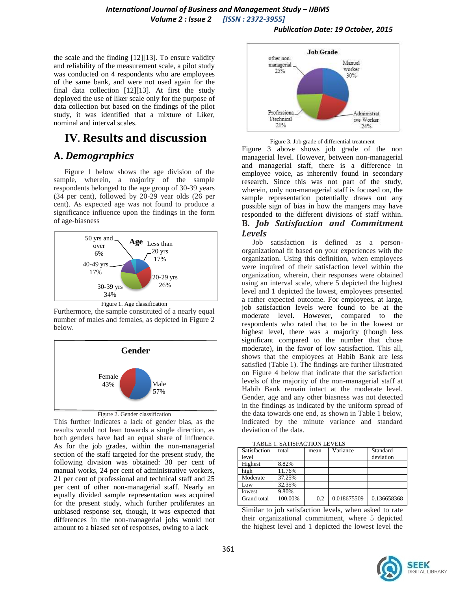#### *International Journal of Business and Management Study – IJBMS Volume 2 : Issue 2 [ISSN : 2372-3955]*

#### *Publication Date: 19 October, 2015*

the scale and the finding [12][13]. To ensure validity and reliability of the measurement scale, a pilot study was conducted on 4 respondents who are employees of the same bank, and were not used again for the final data collection [12][13]. At first the study deployed the use of liker scale only for the purpose of data collection but based on the findings of the pilot study, it was identified that a mixture of Liker, nominal and interval scales.

## **IV**. **Results and discussion**

#### **A.** *Demographics*

Figure 1 below shows the age division of the sample, wherein, a majority of the sample respondents belonged to the age group of 30-39 years (34 per cent), followed by 20-29 year olds (26 per cent). As expected age was not found to produce a significance influence upon the findings in the form of age-biasness



Furthermore, the sample constituted of a nearly equal number of males and females, as depicted in Figure 2 below.



#### Figure 2. Gender classification

This further indicates a lack of gender bias, as the results would not lean towards a single direction, as both genders have had an equal share of influence. As for the job grades, within the non-managerial section of the staff targeted for the present study, the following division was obtained: 30 per cent of manual works, 24 per cent of administrative workers, 21 per cent of professional and technical staff and 25 per cent of other non-managerial staff. Nearly an equally divided sample representation was acquired for the present study, which further proliferates an unbiased response set, though, it was expected that differences in the non-managerial jobs would not amount to a biased set of responses, owing to a lack



Figure 3. Job grade of differential treatment

Figure 3 above shows job grade of the non managerial level. However, between non-managerial and managerial staff, there is a difference in employee voice, as inherently found in secondary research. Since this was not part of the study, wherein, only non-managerial staff is focused on, the sample representation potentially draws out any possible sign of bias in how the mangers may have responded to the different divisions of staff within. **B.** *Job Satisfaction and Commitment Levels*

Job satisfaction is defined as a personorganizational fit based on your experiences with the organization. Using this definition, when employees were inquired of their satisfaction level within the organization, wherein, their responses were obtained using an interval scale, where 5 depicted the highest level and 1 depicted the lowest, employees presented a rather expected outcome. For employees, at large, job satisfaction levels were found to be at the moderate level. However, compared to the respondents who rated that to be in the lowest or highest level, there was a majority (though less significant compared to the number that chose moderate), in the favor of low satisfaction. This all, shows that the employees at Habib Bank are less satisfied (Table 1). The findings are further illustrated on Figure 4 below that indicate that the satisfaction levels of the majority of the non-managerial staff at Habib Bank remain intact at the moderate level. Gender, age and any other biasness was not detected in the findings as indicated by the uniform spread of the data towards one end, as shown in Table 1 below, indicated by the minute variance and standard deviation of the data.

| 1710 LE 1, 071 110 110 110 11 LE 1 LEO |         |      |             |             |
|----------------------------------------|---------|------|-------------|-------------|
| Satisfaction                           | total   | mean | Variance    | Standard    |
| level                                  |         |      |             | deviation   |
| Highest                                | 8.82%   |      |             |             |
| high                                   | 11.76%  |      |             |             |
| Moderate                               | 37.25%  |      |             |             |
| Low                                    | 32.35%  |      |             |             |
| lowest                                 | 9.80%   |      |             |             |
| Grand total                            | 100.00% | 0.2  | 0.018675509 | 0.136658368 |
|                                        |         |      |             |             |

Similar to job satisfaction levels, when asked to rate their organizational commitment, where 5 depicted the highest level and 1 depicted the lowest level the

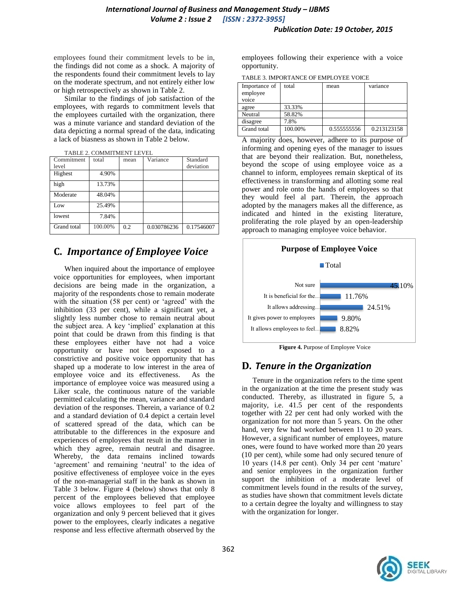employees found their commitment levels to be in, the findings did not come as a shock. A majority of the respondents found their commitment levels to lay on the moderate spectrum, and not entirely either low or high retrospectively as shown in Table 2.

Similar to the findings of job satisfaction of the employees, with regards to commitment levels that the employees curtailed with the organization, there was a minute variance and standard deviation of the data depicting a normal spread of the data, indicating a lack of biasness as shown in Table 2 below.

| TABLE 2. COMMITMENT LEVEL |
|---------------------------|

| Commitment<br>level | total   | mean | Variance    | Standard<br>deviation   |
|---------------------|---------|------|-------------|-------------------------|
| Highest             | 4.90%   |      |             |                         |
| high                | 13.73%  |      |             |                         |
| Moderate            | 48.04%  |      |             |                         |
| Low                 | 25.49%  |      |             |                         |
| lowest              | 7.84%   |      |             |                         |
| Grand total         | 100.00% | 0.2  | 0.030786236 | $\overline{0.17546007}$ |

#### **C.** *Importance of Employee Voice*

When inquired about the importance of employee voice opportunities for employees, when important decisions are being made in the organization, a majority of the respondents chose to remain moderate with the situation (58 per cent) or 'agreed' with the inhibition (33 per cent), while a significant yet, a slightly less number chose to remain neutral about the subject area. A key 'implied' explanation at this point that could be drawn from this finding is that these employees either have not had a voice opportunity or have not been exposed to a constrictive and positive voice opportunity that has shaped up a moderate to low interest in the area of employee voice and its effectiveness. As the importance of employee voice was measured using a Liker scale, the continuous nature of the variable permitted calculating the mean, variance and standard deviation of the responses. Therein, a variance of 0.2 and a standard deviation of 0.4 depict a certain level of scattered spread of the data, which can be attributable to the differences in the exposure and experiences of employees that result in the manner in which they agree, remain neutral and disagree. Whereby, the data remains inclined towards 'agreement' and remaining 'neutral' to the idea of positive effectiveness of employee voice in the eyes of the non-managerial staff in the bank as shown in Table 3 below. Figure 4 (below) shows that only 8 percent of the employees believed that employee voice allows employees to feel part of the organization and only 9 percent believed that it gives power to the employees, clearly indicates a negative response and less effective aftermath observed by the employees following their experience with a voice opportunity.

TABLE 3. IMPORTANCE OF EMPLOYEE VOICE

| Importance of<br>employee | total   | mean        | variance    |  |
|---------------------------|---------|-------------|-------------|--|
| voice                     |         |             |             |  |
| agree                     | 33.33%  |             |             |  |
| Neutral                   | 58.82%  |             |             |  |
| disagree                  | 7.8%    |             |             |  |
| Grand total               | 100.00% | 0.555555556 | 0.213123158 |  |

A majority does, however, adhere to its purpose of informing and opening eyes of the manager to issues that are beyond their realization. But, nonetheless, beyond the scope of using employee voice as a channel to inform, employees remain skeptical of its effectiveness in transforming and allotting some real power and role onto the hands of employees so that they would feel al part. Therein, the approach adopted by the managers makes all the difference, as indicated and hinted in the existing literature, proliferating the role played by an open-leadership approach to managing employee voice behavior.



 **Figure 4.** Purpose of Employee Voice

#### **D.** *Tenure in the Organization*

Tenure in the organization refers to the time spent in the organization at the time the present study was conducted. Thereby, as illustrated in figure 5, a majority, i.e. 41.5 per cent of the respondents together with 22 per cent had only worked with the organization for not more than 5 years. On the other hand, very few had worked between 11 to 20 years. However, a significant number of employees, mature ones, were found to have worked more than 20 years (10 per cent), while some had only secured tenure of 10 years (14.8 per cent). Only 34 per cent "mature" and senior employees in the organization further support the inhibition of a moderate level of commitment levels found in the results of the survey, as studies have shown that commitment levels dictate to a certain degree the loyalty and willingness to stay with the organization for longer.